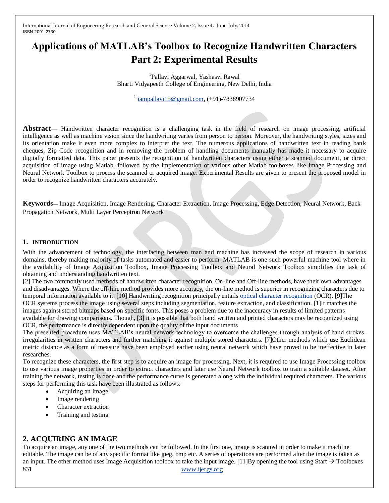# **Applications of MATLAB's Toolbox to Recognize Handwritten Characters Part 2: Experimental Results**

<sup>1</sup>Pallavi Aggarwal, Yashasvi Rawal Bharti Vidyapeeth College of Engineering, New Delhi, India

<sup>1</sup> [iampallavi15@gmail.com,](mailto:iampallavi15@gmail.com) (+91)-7838907734

**Abstract**— Handwritten character recognition is a challenging task in the field of research on image processing, artificial intelligence as well as machine vision since the handwriting varies from person to person. Moreover, the handwriting styles, sizes and its orientation make it even more complex to interpret the text. The numerous applications of handwritten text in reading bank cheques, Zip Code recognition and in removing the problem of handling documents manually has made it necessary to acquire digitally formatted data. This paper presents the recognition of handwritten characters using either a scanned document, or direct acquisition of image using Matlab, followed by the implementation of various other Matlab toolboxes like Image Processing and Neural Network Toolbox to process the scanned or acquired image. Experimental Results are given to present the proposed model in order to recognize handwritten characters accurately.

**Keywords**— Image Acquisition, Image Rendering, Character Extraction, Image Processing, Edge Detection, Neural Network, Back Propagation Network, Multi Layer Perceptron Network

### **1. INTRODUCTION**

With the advancement of technology, the interfacing between man and machine has increased the scope of research in various domains, thereby making majority of tasks automated and easier to perform. MATLAB is one such powerful machine tool where in the availability of Image Acquisition Toolbox, Image Processing Toolbox and Neural Network Toolbox simplifies the task of obtaining and understanding handwritten text.

[2] The two commonly used methods of handwritten character recognition, On-line and Off-line methods, have their own advantages and disadvantages. Where the off-line method provides more accuracy, the on-line method is superior in recognizing characters due to temporal information available to it. [10] Handwriting recognition principally entails [optical character recognition \(](http://en.wikipedia.org/wiki/Optical_character_recognition)OCR). [9]The OCR systems process the image using several steps including segmentation, feature extraction, and classification. [1]It matches the images against stored bitmaps based on specific fonts. This poses a problem due to the inaccuracy in results of limited patterns available for drawing comparisons. Though, [3] it is possible that both hand written and printed characters may be recognized using OCR, the performance is directly dependent upon the quality of the input documents

The presented procedure uses MATLAB's neural network technology to overcome the challenges through analysis of hand strokes, irregularities in written characters and further matching it against multiple stored characters. [7]Other methods which use Euclidean metric distance as a form of measure have been employed earlier using neural network which have proved to be ineffective in later researches.

To recognize these characters, the first step is to acquire an image for processing. Next, it is required to use Image Processing toolbox to use various image properties in order to extract characters and later use Neural Network toolbox to train a suitable dataset. After training the network, testing is done and the performance curve is generated along with the individual required characters. The various steps for performing this task have been illustrated as follows:

- Acquiring an Image
- Image rendering
- Character extraction
- Training and testing

## **2. ACQUIRING AN IMAGE**

831 [www.ijergs.org](http://www.ijergs.org/) To acquire an image, any one of the two methods can be followed. In the first one, image is scanned in order to make it machine editable. The image can be of any specific format like jpeg, bmp etc. A series of operations are performed after the image is taken as an input. The other method uses Image Acquisition toolbox to take the input image. [11]By opening the tool using Start  $\rightarrow$  Toolboxes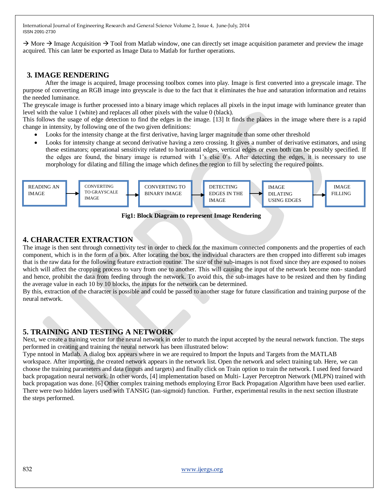$\rightarrow$  More  $\rightarrow$  Image Acquisition  $\rightarrow$  Tool from Matlab window, one can directly set image acquisition parameter and preview the image acquired. This can later be exported as Image Data to Matlab for further operations.

# **3. IMAGE RENDERING**

 After the image is acquired, Image processing toolbox comes into play. Image is first converted into a greyscale image. The purpose of converting an RGB image into greyscale is due to the fact that it eliminates the hue and saturation information and retains the needed luminance.

The greyscale image is further processed into a binary image which replaces all pixels in the input image with luminance greater than level with the value 1 (white) and replaces all other pixels with the value 0 (black).

This follows the usage of edge detection to find the edges in the image. [13] It finds the places in the image where there is a rapid change in intensity, by following one of the two given definitions:

- Looks for the intensity change at the first derivative, having larger magnitude than some other threshold
- Looks for intensity change at second derivative having a zero crossing. It gives a number of derivative estimators, and using these estimators; operational sensitivity related to horizontal edges, vertical edges or even both can be possibly specified. If the edges are found, the binary image is returned with 1's else 0's. After detecting the edges, it is necessary to use morphology for dilating and filling the image which defines the region to fill by selecting the required points.



 **Fig1: Block Diagram to represent Image Rendering**

# **4. CHARACTER EXTRACTION**

The image is then sent through connectivity test in order to check for the maximum connected components and the properties of each component, which is in the form of a box. After locating the box, the individual characters are then cropped into different sub images that is the raw data for the following feature extraction routine. The size of the sub-images is not fixed since they are exposed to noises which will affect the cropping process to vary from one to another. This will causing the input of the network become non- standard and hence, prohibit the data from feeding through the network. To avoid this, the sub-images have to be resized and then by finding the average value in each 10 by 10 blocks, the inputs for the network can be determined.

By this, extraction of the character is possible and could be passed to another stage for future classification and training purpose of the neural network.

# **5. TRAINING AND TESTING A NETWORK**

Next, we create a training vector for the neural network in order to match the input accepted by the neural network function. The steps performed in creating and training the neural network has been illustrated below:

Type nntool in Matlab. A dialog box appears where in we are required to Import the Inputs and Targets from the MATLAB workspace. After importing, the created network appears in the network list. Open the network and select training tab. Here, we can choose the training parameters and data (inputs and targets) and finally click on Train option to train the network. I used feed forward back propagation neural network. In other words, [4] implementation based on Multi- Layer Perceptron Network (MLPN) trained with back propagation was done. [6] Other complex training methods employing Error Back Propagation Algorithm have been used earlier. There were two hidden layers used with TANSIG (tan-sigmoid) function. Further, experimental results in the next section illustrate the steps performed.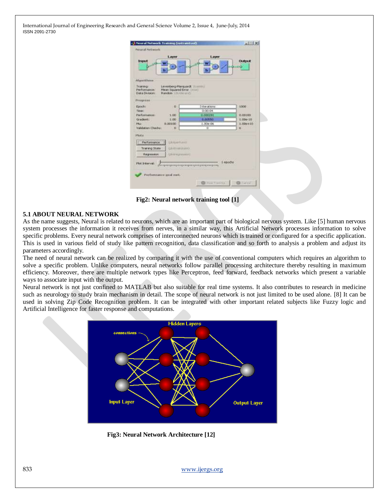| Layer<br>Input                                                                                   | Layer                                         | <b>Dutput</b> |
|--------------------------------------------------------------------------------------------------|-----------------------------------------------|---------------|
|                                                                                                  |                                               |               |
| <b>Algorithmy</b>                                                                                |                                               |               |
| Trainings<br>Performance:<br>Mean Squared Emar Chroni<br>Data Divisions<br>Randon Villabilitandi | Levenberg-Marquardt: Hosining                 |               |
| Progress                                                                                         |                                               |               |
| Epochi<br>10                                                                                     | 3 Keratkins                                   | 1000          |
| Timer:                                                                                           | 0:00:04                                       |               |
| <b>Performance:</b><br>1.00                                                                      | 0.000291                                      | 0.00100       |
| Gradent:<br>1.00                                                                                 | 0.00653                                       | $1.00 + 10$   |
| West.<br>0.00100                                                                                 | 1.00e-06                                      | $1.00 + 10$   |
| Walidatory Checks<br>D.                                                                          | o                                             | н             |
| Phota                                                                                            |                                               |               |
| trician fume<br>Performance                                                                      |                                               |               |
| Training State<br><b>GAIN HOUSE</b>                                                              |                                               |               |
| Regression<br><b>University</b>                                                                  |                                               |               |
|                                                                                                  |                                               |               |
| Pict Interval                                                                                    | dissportance or propriet the propriety of the | 1 epochs      |
|                                                                                                  |                                               |               |

**Fig2: Neural network training tool [1]**

#### **5.1 ABOUT NEURAL NETWORK**

As the name suggests, Neural is related to neurons, which are an important part of biological nervous system. Like [5] human nervous system processes the information it receives from nerves, in a similar way, this Artificial Network processes information to solve specific problems. Every neural network comprises of interconnected neurons which is trained or configured for a specific application. This is used in various field of study like pattern recognition, data classification and so forth to analysis a problem and adjust its parameters accordingly.

The need of neural network can be realized by comparing it with the use of conventional computers which requires an algorithm to solve a specific problem. Unlike computers, neural networks follow parallel processing architecture thereby resulting in maximum efficiency. Moreover, there are multiple network types like Perceptron, feed forward, feedback networks which present a variable ways to associate input with the output.

Neural network is not just confined to MATLAB but also suitable for real time systems. It also contributes to research in medicine such as neurology to study brain mechanism in detail. The scope of neural network is not just limited to be used alone. [8] It can be used in solving Zip Code Recognition problem. It can be integrated with other important related subjects like Fuzzy logic and Artificial Intelligence for faster response and computations.



**Fig3: Neural Network Architecture [12]**

833 [www.ijergs.org](http://www.ijergs.org/)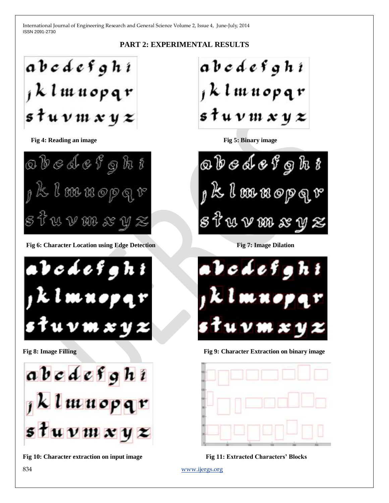# **PART 2: EXPERIMENTAL RESULTS**

abodefghi 1 k l m n op q r  $\mathfrak{s}$  tu v  $\mathfrak{u}$  x y  $\boldsymbol{z}$ 

**Fig 4: Reading an image Fig 5: Binary image** 



**Fig 6: Character Location using Edge Detection Fig 7: Image Dilation Fig 7: Image Dilation** 





**Fig 10: Character extraction on input image Fig 11: Extracted Characters' Blocks**

abedefghi 1 k l m n op q r  $\mathfrak{s}$  t u v m x y  $\boldsymbol{z}$ 

obedefght K I munepqr W V NN & V Z



**Fig 8: Image Filling Theory is a strategies of the Fig 9: Character Extraction on binary image** 



834 [www.ijergs.org](http://www.ijergs.org/)